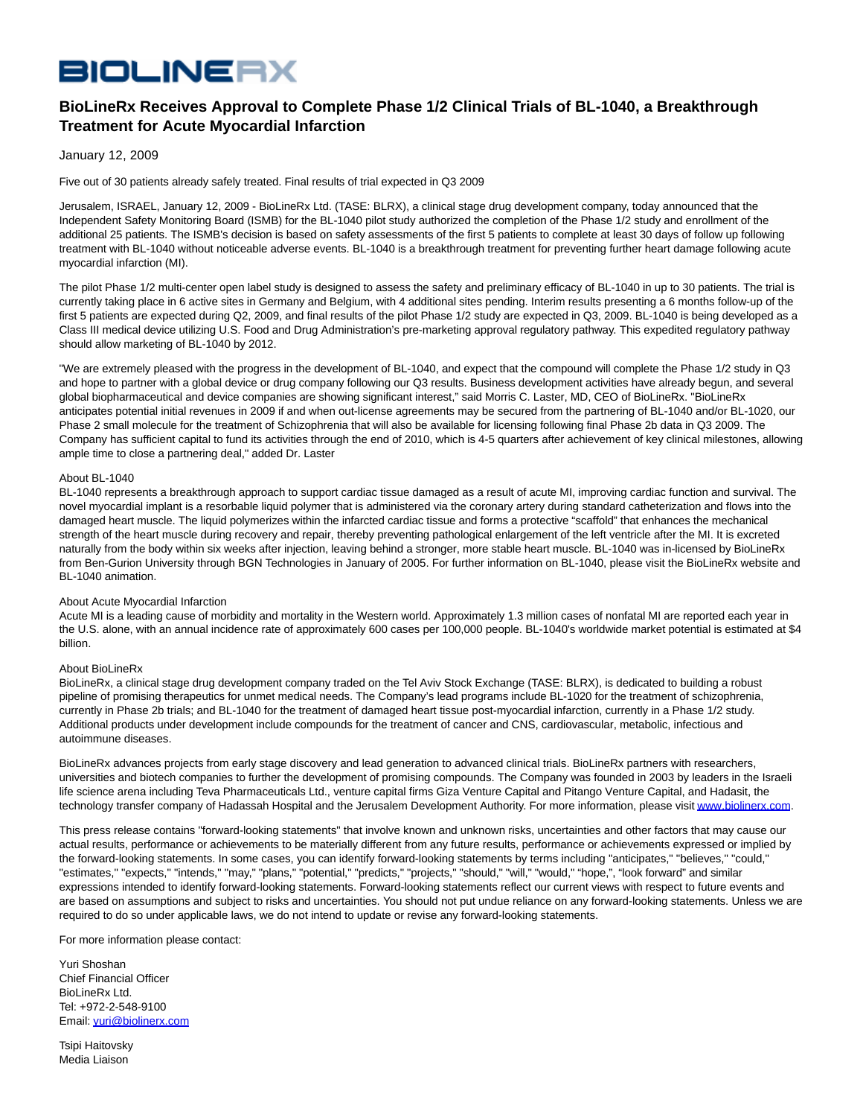# **BIOLINERX**

# **BioLineRx Receives Approval to Complete Phase 1/2 Clinical Trials of BL-1040, a Breakthrough Treatment for Acute Myocardial Infarction**

# January 12, 2009

Five out of 30 patients already safely treated. Final results of trial expected in Q3 2009

Jerusalem, ISRAEL, January 12, 2009 - BioLineRx Ltd. (TASE: BLRX), a clinical stage drug development company, today announced that the Independent Safety Monitoring Board (ISMB) for the BL-1040 pilot study authorized the completion of the Phase 1/2 study and enrollment of the additional 25 patients. The ISMB's decision is based on safety assessments of the first 5 patients to complete at least 30 days of follow up following treatment with BL-1040 without noticeable adverse events. BL-1040 is a breakthrough treatment for preventing further heart damage following acute myocardial infarction (MI).

The pilot Phase 1/2 multi-center open label study is designed to assess the safety and preliminary efficacy of BL-1040 in up to 30 patients. The trial is currently taking place in 6 active sites in Germany and Belgium, with 4 additional sites pending. Interim results presenting a 6 months follow-up of the first 5 patients are expected during Q2, 2009, and final results of the pilot Phase 1/2 study are expected in Q3, 2009. BL-1040 is being developed as a Class III medical device utilizing U.S. Food and Drug Administration's pre-marketing approval regulatory pathway. This expedited regulatory pathway should allow marketing of BL-1040 by 2012.

"We are extremely pleased with the progress in the development of BL-1040, and expect that the compound will complete the Phase 1/2 study in Q3 and hope to partner with a global device or drug company following our Q3 results. Business development activities have already begun, and several global biopharmaceutical and device companies are showing significant interest," said Morris C. Laster, MD, CEO of BioLineRx. "BioLineRx anticipates potential initial revenues in 2009 if and when out-license agreements may be secured from the partnering of BL-1040 and/or BL-1020, our Phase 2 small molecule for the treatment of Schizophrenia that will also be available for licensing following final Phase 2b data in Q3 2009. The Company has sufficient capital to fund its activities through the end of 2010, which is 4-5 quarters after achievement of key clinical milestones, allowing ample time to close a partnering deal," added Dr. Laster

#### About BL-1040

BL-1040 represents a breakthrough approach to support cardiac tissue damaged as a result of acute MI, improving cardiac function and survival. The novel myocardial implant is a resorbable liquid polymer that is administered via the coronary artery during standard catheterization and flows into the damaged heart muscle. The liquid polymerizes within the infarcted cardiac tissue and forms a protective "scaffold" that enhances the mechanical strength of the heart muscle during recovery and repair, thereby preventing pathological enlargement of the left ventricle after the MI. It is excreted naturally from the body within six weeks after injection, leaving behind a stronger, more stable heart muscle. BL-1040 was in-licensed by BioLineRx from Ben-Gurion University through BGN Technologies in January of 2005. For further information on BL-1040, please visit the BioLineRx website and BL-1040 animation.

## About Acute Myocardial Infarction

Acute MI is a leading cause of morbidity and mortality in the Western world. Approximately 1.3 million cases of nonfatal MI are reported each year in the U.S. alone, with an annual incidence rate of approximately 600 cases per 100,000 people. BL-1040's worldwide market potential is estimated at \$4 billion.

## About BioLineRx

BioLineRx, a clinical stage drug development company traded on the Tel Aviv Stock Exchange (TASE: BLRX), is dedicated to building a robust pipeline of promising therapeutics for unmet medical needs. The Company's lead programs include BL-1020 for the treatment of schizophrenia, currently in Phase 2b trials; and BL-1040 for the treatment of damaged heart tissue post-myocardial infarction, currently in a Phase 1/2 study. Additional products under development include compounds for the treatment of cancer and CNS, cardiovascular, metabolic, infectious and autoimmune diseases.

BioLineRx advances projects from early stage discovery and lead generation to advanced clinical trials. BioLineRx partners with researchers, universities and biotech companies to further the development of promising compounds. The Company was founded in 2003 by leaders in the Israeli life science arena including Teva Pharmaceuticals Ltd., venture capital firms Giza Venture Capital and Pitango Venture Capital, and Hadasit, the technology transfer company of Hadassah Hospital and the Jerusalem Development Authority. For more information, please visi[t www.biolinerx.com.](http://www.biolinerx.com/)

This press release contains "forward-looking statements" that involve known and unknown risks, uncertainties and other factors that may cause our actual results, performance or achievements to be materially different from any future results, performance or achievements expressed or implied by the forward-looking statements. In some cases, you can identify forward-looking statements by terms including "anticipates," "believes," "could," "estimates," "expects," "intends," "may," "plans," "potential," "predicts," "projects," "should," "will," "would," "hope,", "look forward" and similar expressions intended to identify forward-looking statements. Forward-looking statements reflect our current views with respect to future events and are based on assumptions and subject to risks and uncertainties. You should not put undue reliance on any forward-looking statements. Unless we are required to do so under applicable laws, we do not intend to update or revise any forward-looking statements.

For more information please contact:

Yuri Shoshan Chief Financial Officer BioLineRx Ltd. Tel: +972-2-548-9100 Email[: yuri@biolinerx.com](mailto:yuri@biolinerx.com)

Tsipi Haitovsky Media Liaison